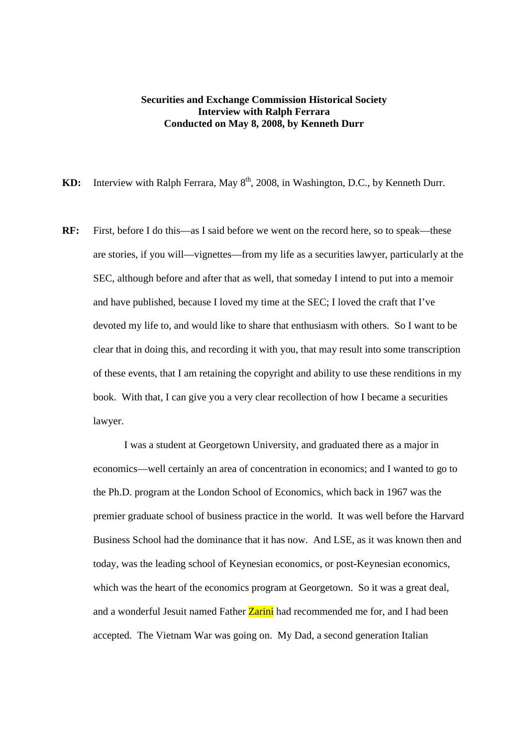## **Securities and Exchange Commission Historical Society Interview with Ralph Ferrara Conducted on May 8, 2008, by Kenneth Durr**

KD: Interview with Ralph Ferrara, May 8<sup>th</sup>, 2008, in Washington, D.C., by Kenneth Durr.

**RF:** First, before I do this—as I said before we went on the record here, so to speak—these are stories, if you will—vignettes—from my life as a securities lawyer, particularly at the SEC, although before and after that as well, that someday I intend to put into a memoir and have published, because I loved my time at the SEC; I loved the craft that I've devoted my life to, and would like to share that enthusiasm with others. So I want to be clear that in doing this, and recording it with you, that may result into some transcription of these events, that I am retaining the copyright and ability to use these renditions in my book. With that, I can give you a very clear recollection of how I became a securities lawyer.

I was a student at Georgetown University, and graduated there as a major in economics—well certainly an area of concentration in economics; and I wanted to go to the Ph.D. program at the London School of Economics, which back in 1967 was the premier graduate school of business practice in the world. It was well before the Harvard Business School had the dominance that it has now. And LSE, as it was known then and today, was the leading school of Keynesian economics, or post-Keynesian economics, which was the heart of the economics program at Georgetown. So it was a great deal, and a wonderful Jesuit named Father **Zarini** had recommended me for, and I had been accepted. The Vietnam War was going on. My Dad, a second generation Italian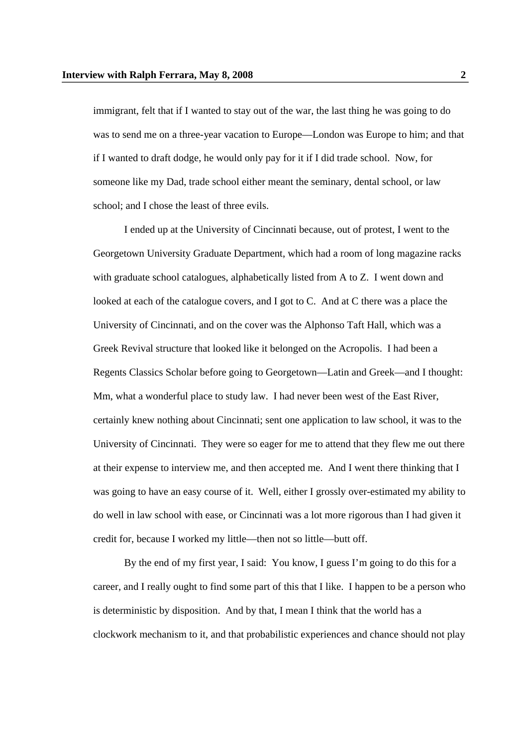immigrant, felt that if I wanted to stay out of the war, the last thing he was going to do was to send me on a three-year vacation to Europe—London was Europe to him; and that if I wanted to draft dodge, he would only pay for it if I did trade school. Now, for someone like my Dad, trade school either meant the seminary, dental school, or law school; and I chose the least of three evils.

I ended up at the University of Cincinnati because, out of protest, I went to the Georgetown University Graduate Department, which had a room of long magazine racks with graduate school catalogues, alphabetically listed from A to Z. I went down and looked at each of the catalogue covers, and I got to C. And at C there was a place the University of Cincinnati, and on the cover was the Alphonso Taft Hall, which was a Greek Revival structure that looked like it belonged on the Acropolis. I had been a Regents Classics Scholar before going to Georgetown—Latin and Greek—and I thought: Mm, what a wonderful place to study law. I had never been west of the East River, certainly knew nothing about Cincinnati; sent one application to law school, it was to the University of Cincinnati. They were so eager for me to attend that they flew me out there at their expense to interview me, and then accepted me. And I went there thinking that I was going to have an easy course of it. Well, either I grossly over-estimated my ability to do well in law school with ease, or Cincinnati was a lot more rigorous than I had given it credit for, because I worked my little—then not so little—butt off.

By the end of my first year, I said: You know, I guess I'm going to do this for a career, and I really ought to find some part of this that I like. I happen to be a person who is deterministic by disposition. And by that, I mean I think that the world has a clockwork mechanism to it, and that probabilistic experiences and chance should not play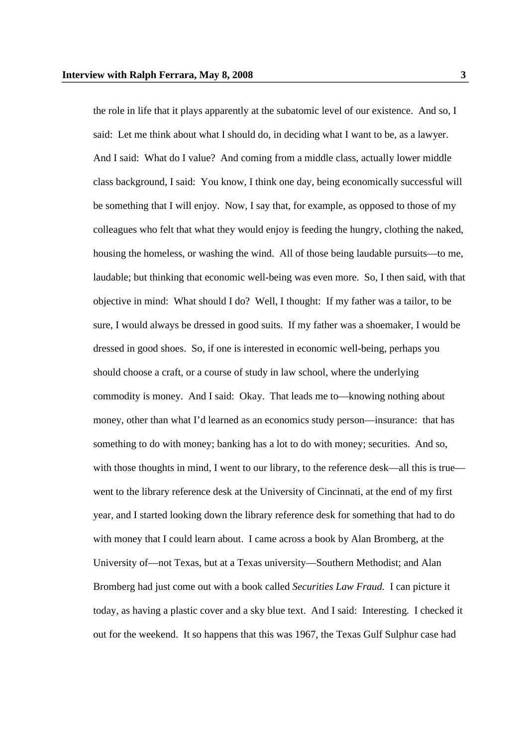the role in life that it plays apparently at the subatomic level of our existence. And so, I said: Let me think about what I should do, in deciding what I want to be, as a lawyer. And I said: What do I value? And coming from a middle class, actually lower middle class background, I said: You know, I think one day, being economically successful will be something that I will enjoy. Now, I say that, for example, as opposed to those of my colleagues who felt that what they would enjoy is feeding the hungry, clothing the naked, housing the homeless, or washing the wind. All of those being laudable pursuits—to me, laudable; but thinking that economic well-being was even more. So, I then said, with that objective in mind: What should I do? Well, I thought: If my father was a tailor, to be sure, I would always be dressed in good suits. If my father was a shoemaker, I would be dressed in good shoes. So, if one is interested in economic well-being, perhaps you should choose a craft, or a course of study in law school, where the underlying commodity is money. And I said: Okay. That leads me to—knowing nothing about money, other than what I'd learned as an economics study person—insurance: that has something to do with money; banking has a lot to do with money; securities. And so, with those thoughts in mind, I went to our library, to the reference desk—all this is true went to the library reference desk at the University of Cincinnati, at the end of my first year, and I started looking down the library reference desk for something that had to do with money that I could learn about. I came across a book by Alan Bromberg, at the University of—not Texas, but at a Texas university—Southern Methodist; and Alan Bromberg had just come out with a book called *Securities Law Fraud.* I can picture it today, as having a plastic cover and a sky blue text. And I said: Interesting. I checked it out for the weekend. It so happens that this was 1967, the Texas Gulf Sulphur case had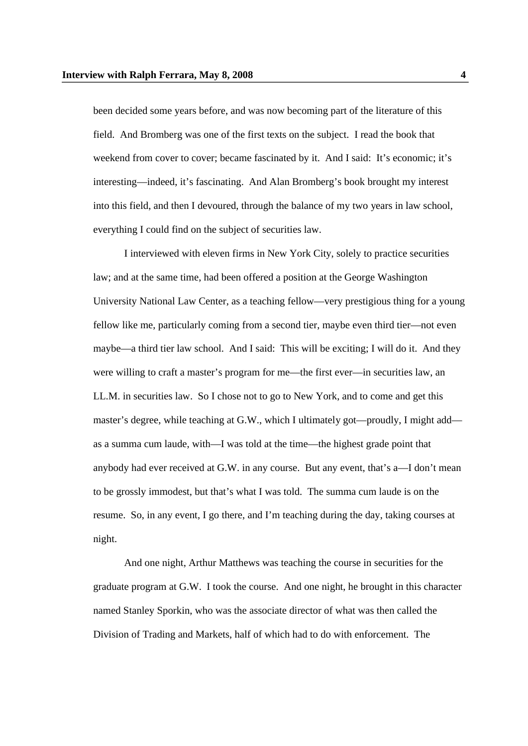been decided some years before, and was now becoming part of the literature of this field. And Bromberg was one of the first texts on the subject. I read the book that weekend from cover to cover; became fascinated by it. And I said: It's economic; it's interesting—indeed, it's fascinating. And Alan Bromberg's book brought my interest into this field, and then I devoured, through the balance of my two years in law school, everything I could find on the subject of securities law.

I interviewed with eleven firms in New York City, solely to practice securities law; and at the same time, had been offered a position at the George Washington University National Law Center, as a teaching fellow—very prestigious thing for a young fellow like me, particularly coming from a second tier, maybe even third tier—not even maybe—a third tier law school. And I said: This will be exciting; I will do it. And they were willing to craft a master's program for me—the first ever—in securities law, an LL.M. in securities law. So I chose not to go to New York, and to come and get this master's degree, while teaching at G.W., which I ultimately got—proudly, I might add as a summa cum laude, with—I was told at the time—the highest grade point that anybody had ever received at G.W. in any course. But any event, that's a—I don't mean to be grossly immodest, but that's what I was told. The summa cum laude is on the resume. So, in any event, I go there, and I'm teaching during the day, taking courses at night.

And one night, Arthur Matthews was teaching the course in securities for the graduate program at G.W. I took the course. And one night, he brought in this character named Stanley Sporkin, who was the associate director of what was then called the Division of Trading and Markets, half of which had to do with enforcement. The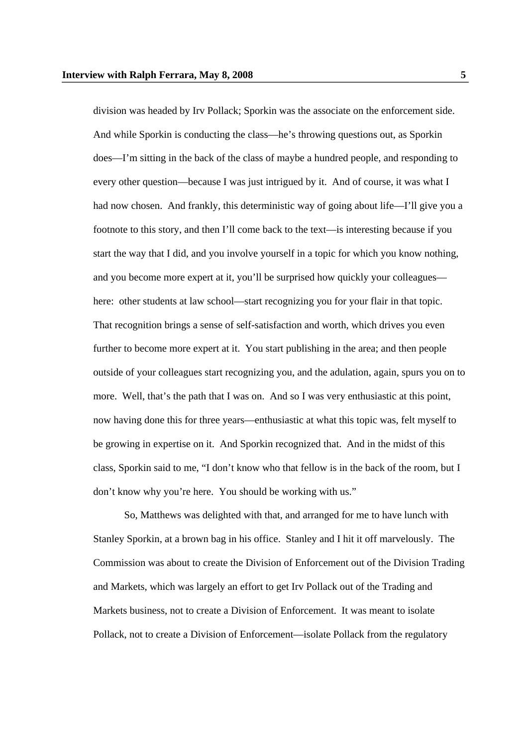division was headed by Irv Pollack; Sporkin was the associate on the enforcement side. And while Sporkin is conducting the class—he's throwing questions out, as Sporkin does—I'm sitting in the back of the class of maybe a hundred people, and responding to every other question—because I was just intrigued by it. And of course, it was what I had now chosen. And frankly, this deterministic way of going about life—I'll give you a footnote to this story, and then I'll come back to the text—is interesting because if you start the way that I did, and you involve yourself in a topic for which you know nothing, and you become more expert at it, you'll be surprised how quickly your colleagues here: other students at law school—start recognizing you for your flair in that topic. That recognition brings a sense of self-satisfaction and worth, which drives you even further to become more expert at it. You start publishing in the area; and then people outside of your colleagues start recognizing you, and the adulation, again, spurs you on to more. Well, that's the path that I was on. And so I was very enthusiastic at this point, now having done this for three years—enthusiastic at what this topic was, felt myself to be growing in expertise on it. And Sporkin recognized that. And in the midst of this class, Sporkin said to me, "I don't know who that fellow is in the back of the room, but I don't know why you're here. You should be working with us."

So, Matthews was delighted with that, and arranged for me to have lunch with Stanley Sporkin, at a brown bag in his office. Stanley and I hit it off marvelously. The Commission was about to create the Division of Enforcement out of the Division Trading and Markets, which was largely an effort to get Irv Pollack out of the Trading and Markets business, not to create a Division of Enforcement. It was meant to isolate Pollack, not to create a Division of Enforcement—isolate Pollack from the regulatory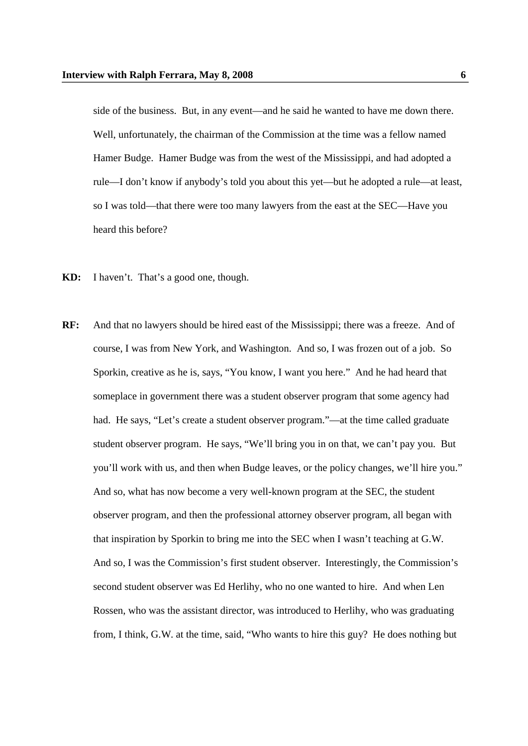side of the business. But, in any event—and he said he wanted to have me down there. Well, unfortunately, the chairman of the Commission at the time was a fellow named Hamer Budge. Hamer Budge was from the west of the Mississippi, and had adopted a rule—I don't know if anybody's told you about this yet—but he adopted a rule—at least, so I was told—that there were too many lawyers from the east at the SEC—Have you heard this before?

- **KD:** I haven't. That's a good one, though.
- **RF:** And that no lawyers should be hired east of the Mississippi; there was a freeze. And of course, I was from New York, and Washington. And so, I was frozen out of a job. So Sporkin, creative as he is, says, "You know, I want you here." And he had heard that someplace in government there was a student observer program that some agency had had. He says, "Let's create a student observer program."—at the time called graduate student observer program. He says, "We'll bring you in on that, we can't pay you. But you'll work with us, and then when Budge leaves, or the policy changes, we'll hire you." And so, what has now become a very well-known program at the SEC, the student observer program, and then the professional attorney observer program, all began with that inspiration by Sporkin to bring me into the SEC when I wasn't teaching at G.W. And so, I was the Commission's first student observer. Interestingly, the Commission's second student observer was Ed Herlihy, who no one wanted to hire. And when Len Rossen, who was the assistant director, was introduced to Herlihy, who was graduating from, I think, G.W. at the time, said, "Who wants to hire this guy? He does nothing but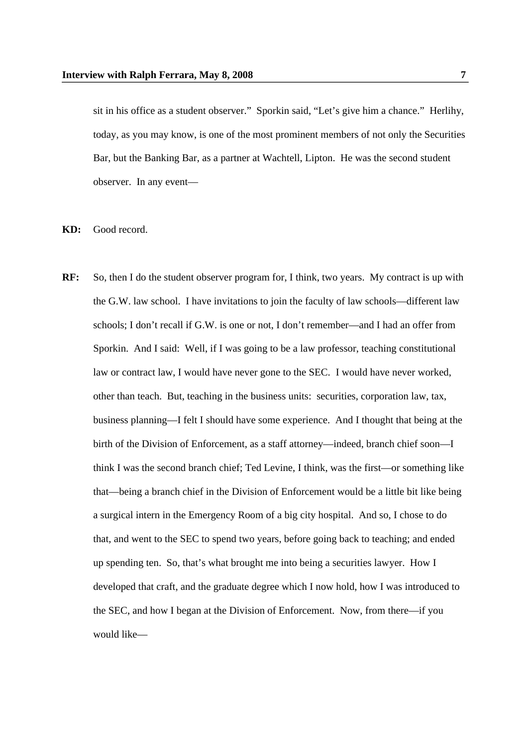sit in his office as a student observer." Sporkin said, "Let's give him a chance." Herlihy, today, as you may know, is one of the most prominent members of not only the Securities Bar, but the Banking Bar, as a partner at Wachtell, Lipton. He was the second student observer. In any event—

**KD:** Good record.

**RF:** So, then I do the student observer program for, I think, two years. My contract is up with the G.W. law school. I have invitations to join the faculty of law schools—different law schools; I don't recall if G.W. is one or not, I don't remember—and I had an offer from Sporkin. And I said: Well, if I was going to be a law professor, teaching constitutional law or contract law, I would have never gone to the SEC. I would have never worked, other than teach. But, teaching in the business units: securities, corporation law, tax, business planning—I felt I should have some experience. And I thought that being at the birth of the Division of Enforcement, as a staff attorney—indeed, branch chief soon—I think I was the second branch chief; Ted Levine, I think, was the first—or something like that—being a branch chief in the Division of Enforcement would be a little bit like being a surgical intern in the Emergency Room of a big city hospital. And so, I chose to do that, and went to the SEC to spend two years, before going back to teaching; and ended up spending ten. So, that's what brought me into being a securities lawyer. How I developed that craft, and the graduate degree which I now hold, how I was introduced to the SEC, and how I began at the Division of Enforcement. Now, from there—if you would like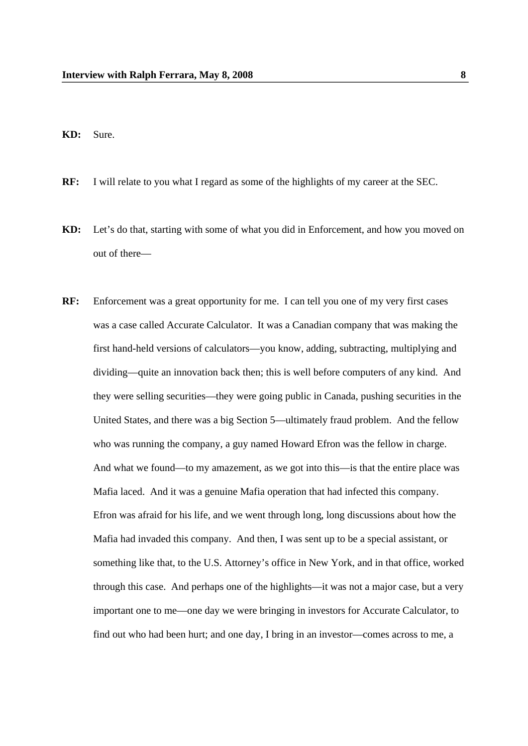**KD:** Sure.

- **RF:** I will relate to you what I regard as some of the highlights of my career at the SEC.
- **KD:** Let's do that, starting with some of what you did in Enforcement, and how you moved on out of there—
- **RF:** Enforcement was a great opportunity for me. I can tell you one of my very first cases was a case called Accurate Calculator. It was a Canadian company that was making the first hand-held versions of calculators—you know, adding, subtracting, multiplying and dividing—quite an innovation back then; this is well before computers of any kind. And they were selling securities—they were going public in Canada, pushing securities in the United States, and there was a big Section 5—ultimately fraud problem. And the fellow who was running the company, a guy named Howard Efron was the fellow in charge. And what we found—to my amazement, as we got into this—is that the entire place was Mafia laced. And it was a genuine Mafia operation that had infected this company. Efron was afraid for his life, and we went through long, long discussions about how the Mafia had invaded this company. And then, I was sent up to be a special assistant, or something like that, to the U.S. Attorney's office in New York, and in that office, worked through this case. And perhaps one of the highlights—it was not a major case, but a very important one to me—one day we were bringing in investors for Accurate Calculator, to find out who had been hurt; and one day, I bring in an investor—comes across to me, a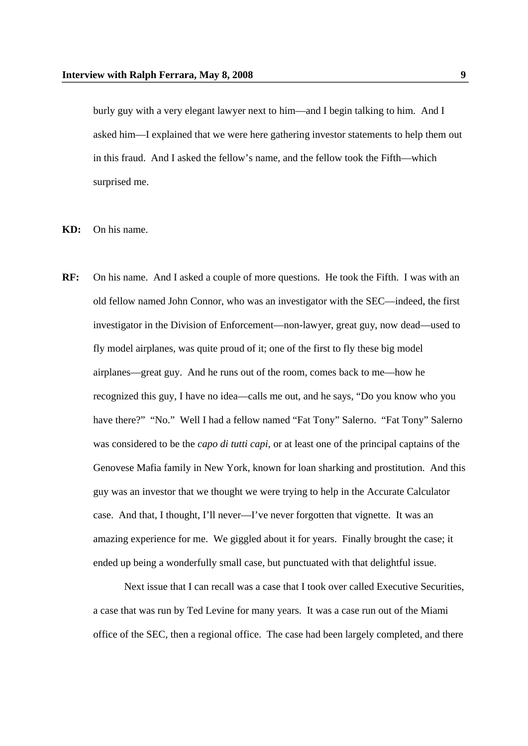burly guy with a very elegant lawyer next to him—and I begin talking to him. And I asked him—I explained that we were here gathering investor statements to help them out in this fraud. And I asked the fellow's name, and the fellow took the Fifth—which surprised me.

**KD:** On his name.

**RF:** On his name. And I asked a couple of more questions. He took the Fifth. I was with an old fellow named John Connor, who was an investigator with the SEC—indeed, the first investigator in the Division of Enforcement—non-lawyer, great guy, now dead—used to fly model airplanes, was quite proud of it; one of the first to fly these big model airplanes—great guy. And he runs out of the room, comes back to me—how he recognized this guy, I have no idea—calls me out, and he says, "Do you know who you have there?" "No." Well I had a fellow named "Fat Tony" Salerno. "Fat Tony" Salerno was considered to be the *capo di tutti capi,* or at least one of the principal captains of the Genovese Mafia family in New York, known for loan sharking and prostitution. And this guy was an investor that we thought we were trying to help in the Accurate Calculator case. And that, I thought, I'll never—I've never forgotten that vignette. It was an amazing experience for me. We giggled about it for years. Finally brought the case; it ended up being a wonderfully small case, but punctuated with that delightful issue.

Next issue that I can recall was a case that I took over called Executive Securities, a case that was run by Ted Levine for many years. It was a case run out of the Miami office of the SEC, then a regional office. The case had been largely completed, and there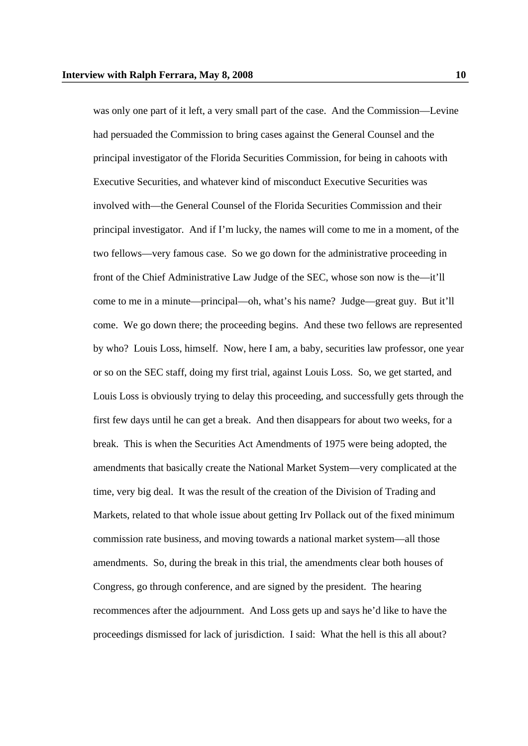was only one part of it left, a very small part of the case. And the Commission—Levine had persuaded the Commission to bring cases against the General Counsel and the principal investigator of the Florida Securities Commission, for being in cahoots with Executive Securities, and whatever kind of misconduct Executive Securities was involved with—the General Counsel of the Florida Securities Commission and their principal investigator. And if I'm lucky, the names will come to me in a moment, of the two fellows—very famous case. So we go down for the administrative proceeding in front of the Chief Administrative Law Judge of the SEC, whose son now is the—it'll come to me in a minute—principal—oh, what's his name? Judge—great guy. But it'll come. We go down there; the proceeding begins. And these two fellows are represented by who? Louis Loss, himself. Now, here I am, a baby, securities law professor, one year or so on the SEC staff, doing my first trial, against Louis Loss. So, we get started, and Louis Loss is obviously trying to delay this proceeding, and successfully gets through the first few days until he can get a break. And then disappears for about two weeks, for a break. This is when the Securities Act Amendments of 1975 were being adopted, the amendments that basically create the National Market System—very complicated at the time, very big deal. It was the result of the creation of the Division of Trading and Markets, related to that whole issue about getting Irv Pollack out of the fixed minimum commission rate business, and moving towards a national market system—all those amendments. So, during the break in this trial, the amendments clear both houses of Congress, go through conference, and are signed by the president. The hearing recommences after the adjournment. And Loss gets up and says he'd like to have the proceedings dismissed for lack of jurisdiction. I said: What the hell is this all about?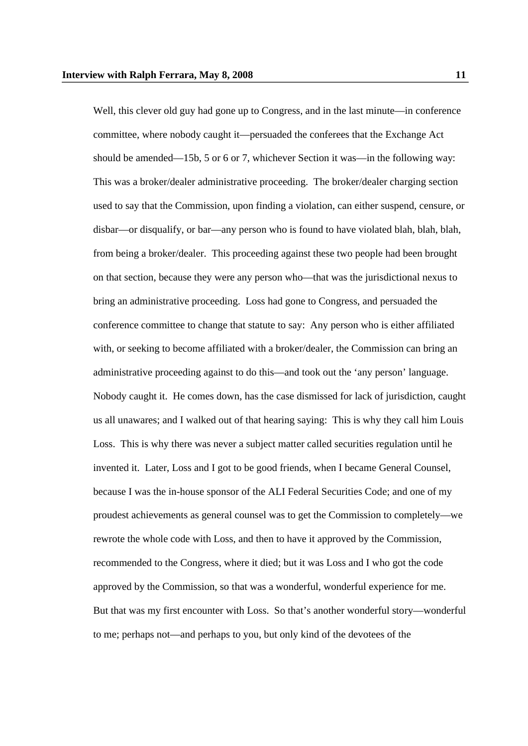Well, this clever old guy had gone up to Congress, and in the last minute—in conference committee, where nobody caught it—persuaded the conferees that the Exchange Act should be amended—15b, 5 or 6 or 7, whichever Section it was—in the following way: This was a broker/dealer administrative proceeding. The broker/dealer charging section used to say that the Commission, upon finding a violation, can either suspend, censure, or disbar—or disqualify, or bar—any person who is found to have violated blah, blah, blah, from being a broker/dealer. This proceeding against these two people had been brought on that section, because they were any person who—that was the jurisdictional nexus to bring an administrative proceeding. Loss had gone to Congress, and persuaded the conference committee to change that statute to say: Any person who is either affiliated with, or seeking to become affiliated with a broker/dealer, the Commission can bring an administrative proceeding against to do this—and took out the 'any person' language. Nobody caught it. He comes down, has the case dismissed for lack of jurisdiction, caught us all unawares; and I walked out of that hearing saying: This is why they call him Louis Loss. This is why there was never a subject matter called securities regulation until he invented it. Later, Loss and I got to be good friends, when I became General Counsel, because I was the in-house sponsor of the ALI Federal Securities Code; and one of my proudest achievements as general counsel was to get the Commission to completely—we rewrote the whole code with Loss, and then to have it approved by the Commission, recommended to the Congress, where it died; but it was Loss and I who got the code approved by the Commission, so that was a wonderful, wonderful experience for me. But that was my first encounter with Loss. So that's another wonderful story—wonderful to me; perhaps not—and perhaps to you, but only kind of the devotees of the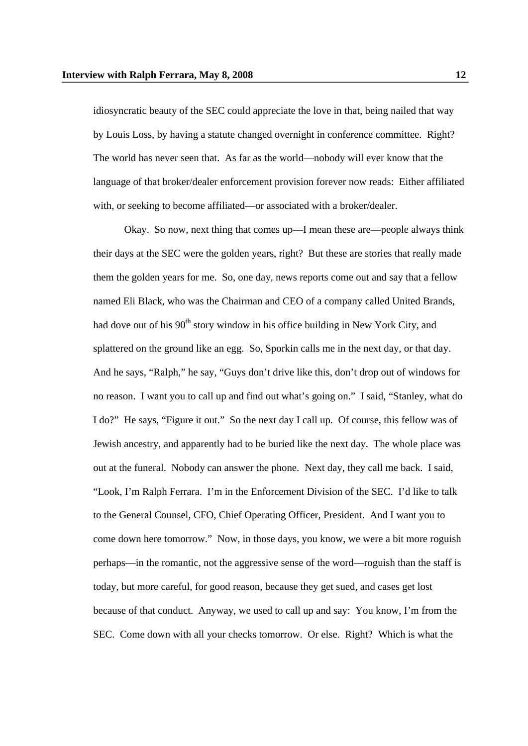idiosyncratic beauty of the SEC could appreciate the love in that, being nailed that way by Louis Loss, by having a statute changed overnight in conference committee. Right? The world has never seen that. As far as the world—nobody will ever know that the language of that broker/dealer enforcement provision forever now reads: Either affiliated with, or seeking to become affiliated—or associated with a broker/dealer.

Okay. So now, next thing that comes up—I mean these are—people always think their days at the SEC were the golden years, right? But these are stories that really made them the golden years for me. So, one day, news reports come out and say that a fellow named Eli Black, who was the Chairman and CEO of a company called United Brands, had dove out of his  $90<sup>th</sup>$  story window in his office building in New York City, and splattered on the ground like an egg. So, Sporkin calls me in the next day, or that day. And he says, "Ralph," he say, "Guys don't drive like this, don't drop out of windows for no reason. I want you to call up and find out what's going on." I said, "Stanley, what do I do?" He says, "Figure it out." So the next day I call up. Of course, this fellow was of Jewish ancestry, and apparently had to be buried like the next day. The whole place was out at the funeral. Nobody can answer the phone. Next day, they call me back. I said, "Look, I'm Ralph Ferrara. I'm in the Enforcement Division of the SEC. I'd like to talk to the General Counsel, CFO, Chief Operating Officer, President. And I want you to come down here tomorrow." Now, in those days, you know, we were a bit more roguish perhaps—in the romantic, not the aggressive sense of the word—roguish than the staff is today, but more careful, for good reason, because they get sued, and cases get lost because of that conduct. Anyway, we used to call up and say: You know, I'm from the SEC. Come down with all your checks tomorrow. Or else. Right? Which is what the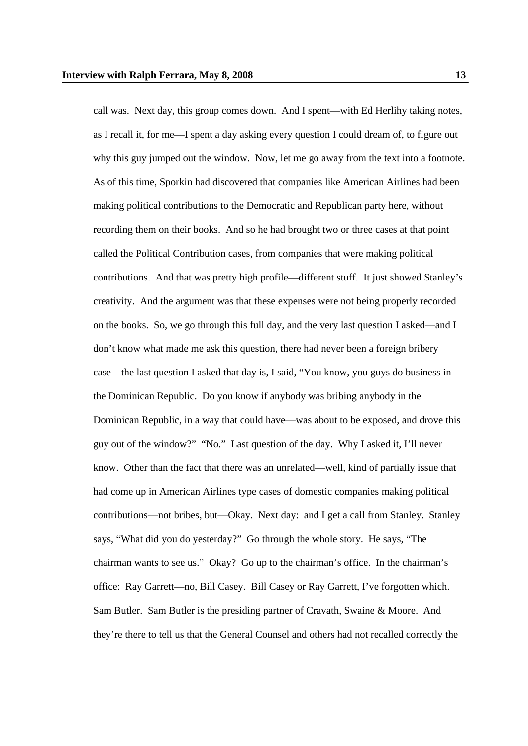call was. Next day, this group comes down. And I spent—with Ed Herlihy taking notes, as I recall it, for me—I spent a day asking every question I could dream of, to figure out why this guy jumped out the window. Now, let me go away from the text into a footnote. As of this time, Sporkin had discovered that companies like American Airlines had been making political contributions to the Democratic and Republican party here, without recording them on their books. And so he had brought two or three cases at that point called the Political Contribution cases, from companies that were making political contributions. And that was pretty high profile—different stuff. It just showed Stanley's creativity. And the argument was that these expenses were not being properly recorded on the books. So, we go through this full day, and the very last question I asked—and I don't know what made me ask this question, there had never been a foreign bribery case—the last question I asked that day is, I said, "You know, you guys do business in the Dominican Republic. Do you know if anybody was bribing anybody in the Dominican Republic, in a way that could have—was about to be exposed, and drove this guy out of the window?" "No." Last question of the day. Why I asked it, I'll never know. Other than the fact that there was an unrelated—well, kind of partially issue that had come up in American Airlines type cases of domestic companies making political contributions—not bribes, but—Okay. Next day: and I get a call from Stanley. Stanley says, "What did you do yesterday?" Go through the whole story. He says, "The chairman wants to see us." Okay? Go up to the chairman's office. In the chairman's office: Ray Garrett—no, Bill Casey. Bill Casey or Ray Garrett, I've forgotten which. Sam Butler. Sam Butler is the presiding partner of Cravath, Swaine & Moore. And they're there to tell us that the General Counsel and others had not recalled correctly the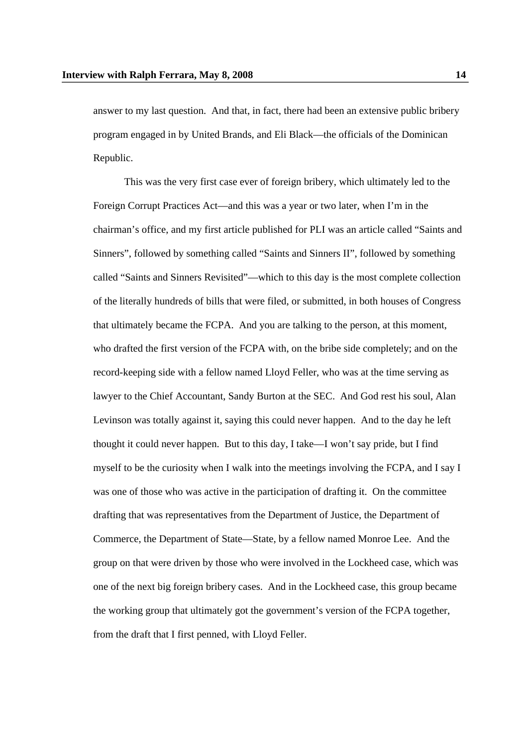answer to my last question. And that, in fact, there had been an extensive public bribery program engaged in by United Brands, and Eli Black—the officials of the Dominican Republic.

This was the very first case ever of foreign bribery, which ultimately led to the Foreign Corrupt Practices Act—and this was a year or two later, when I'm in the chairman's office, and my first article published for PLI was an article called "Saints and Sinners", followed by something called "Saints and Sinners II", followed by something called "Saints and Sinners Revisited"—which to this day is the most complete collection of the literally hundreds of bills that were filed, or submitted, in both houses of Congress that ultimately became the FCPA. And you are talking to the person, at this moment, who drafted the first version of the FCPA with, on the bribe side completely; and on the record-keeping side with a fellow named Lloyd Feller, who was at the time serving as lawyer to the Chief Accountant, Sandy Burton at the SEC. And God rest his soul, Alan Levinson was totally against it, saying this could never happen. And to the day he left thought it could never happen. But to this day, I take—I won't say pride, but I find myself to be the curiosity when I walk into the meetings involving the FCPA, and I say I was one of those who was active in the participation of drafting it. On the committee drafting that was representatives from the Department of Justice, the Department of Commerce, the Department of State—State, by a fellow named Monroe Lee. And the group on that were driven by those who were involved in the Lockheed case, which was one of the next big foreign bribery cases. And in the Lockheed case, this group became the working group that ultimately got the government's version of the FCPA together, from the draft that I first penned, with Lloyd Feller.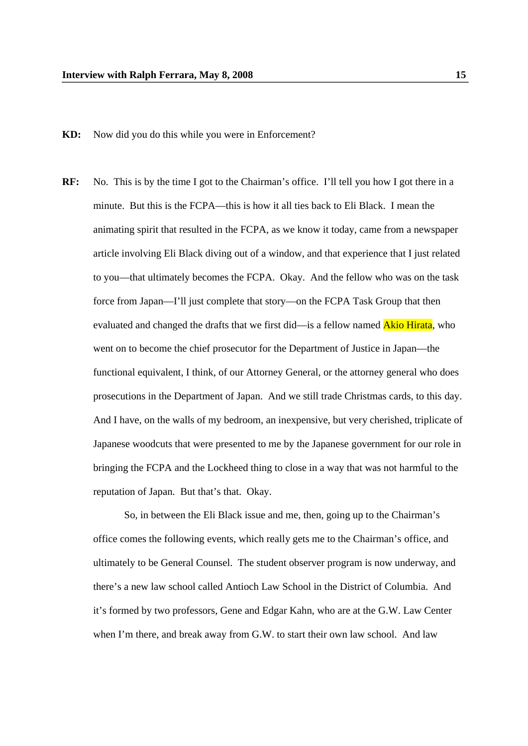- **KD:** Now did you do this while you were in Enforcement?
- **RF:** No. This is by the time I got to the Chairman's office. I'll tell you how I got there in a minute. But this is the FCPA—this is how it all ties back to Eli Black. I mean the animating spirit that resulted in the FCPA, as we know it today, came from a newspaper article involving Eli Black diving out of a window, and that experience that I just related to you—that ultimately becomes the FCPA. Okay. And the fellow who was on the task force from Japan—I'll just complete that story—on the FCPA Task Group that then evaluated and changed the drafts that we first did—is a fellow named **Akio Hirata**, who went on to become the chief prosecutor for the Department of Justice in Japan—the functional equivalent, I think, of our Attorney General, or the attorney general who does prosecutions in the Department of Japan. And we still trade Christmas cards, to this day. And I have, on the walls of my bedroom, an inexpensive, but very cherished, triplicate of Japanese woodcuts that were presented to me by the Japanese government for our role in bringing the FCPA and the Lockheed thing to close in a way that was not harmful to the reputation of Japan. But that's that. Okay.

So, in between the Eli Black issue and me, then, going up to the Chairman's office comes the following events, which really gets me to the Chairman's office, and ultimately to be General Counsel. The student observer program is now underway, and there's a new law school called Antioch Law School in the District of Columbia. And it's formed by two professors, Gene and Edgar Kahn, who are at the G.W. Law Center when I'm there, and break away from G.W. to start their own law school. And law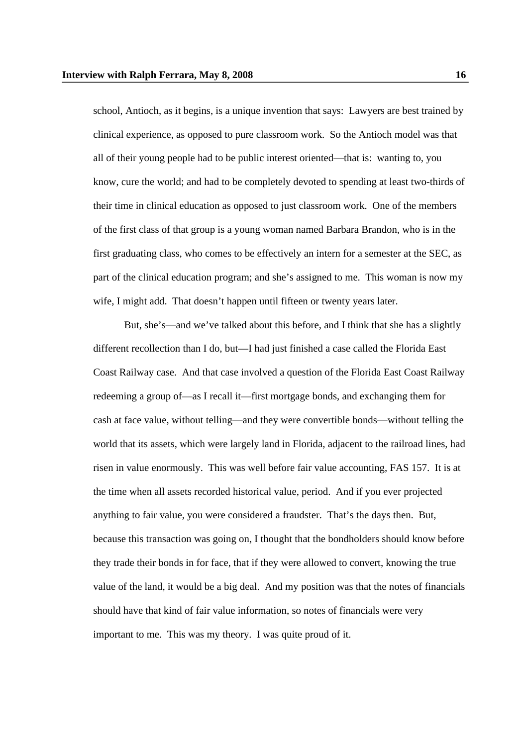school, Antioch, as it begins, is a unique invention that says: Lawyers are best trained by clinical experience, as opposed to pure classroom work. So the Antioch model was that all of their young people had to be public interest oriented—that is: wanting to, you know, cure the world; and had to be completely devoted to spending at least two-thirds of their time in clinical education as opposed to just classroom work. One of the members of the first class of that group is a young woman named Barbara Brandon, who is in the first graduating class, who comes to be effectively an intern for a semester at the SEC, as part of the clinical education program; and she's assigned to me. This woman is now my wife, I might add. That doesn't happen until fifteen or twenty years later.

But, she's—and we've talked about this before, and I think that she has a slightly different recollection than I do, but—I had just finished a case called the Florida East Coast Railway case. And that case involved a question of the Florida East Coast Railway redeeming a group of—as I recall it—first mortgage bonds, and exchanging them for cash at face value, without telling—and they were convertible bonds—without telling the world that its assets, which were largely land in Florida, adjacent to the railroad lines, had risen in value enormously. This was well before fair value accounting, FAS 157. It is at the time when all assets recorded historical value, period. And if you ever projected anything to fair value, you were considered a fraudster. That's the days then. But, because this transaction was going on, I thought that the bondholders should know before they trade their bonds in for face, that if they were allowed to convert, knowing the true value of the land, it would be a big deal. And my position was that the notes of financials should have that kind of fair value information, so notes of financials were very important to me. This was my theory. I was quite proud of it.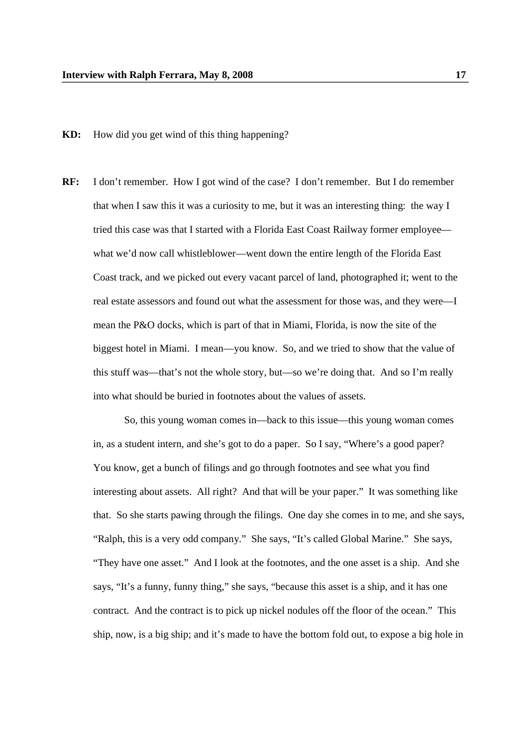**KD:** How did you get wind of this thing happening?

**RF:** I don't remember. How I got wind of the case? I don't remember. But I do remember that when I saw this it was a curiosity to me, but it was an interesting thing: the way I tried this case was that I started with a Florida East Coast Railway former employee what we'd now call whistleblower—went down the entire length of the Florida East Coast track, and we picked out every vacant parcel of land, photographed it; went to the real estate assessors and found out what the assessment for those was, and they were—I mean the P&O docks, which is part of that in Miami, Florida, is now the site of the biggest hotel in Miami. I mean—you know. So, and we tried to show that the value of this stuff was—that's not the whole story, but—so we're doing that. And so I'm really into what should be buried in footnotes about the values of assets.

So, this young woman comes in—back to this issue—this young woman comes in, as a student intern, and she's got to do a paper. So I say, "Where's a good paper? You know, get a bunch of filings and go through footnotes and see what you find interesting about assets. All right? And that will be your paper." It was something like that. So she starts pawing through the filings. One day she comes in to me, and she says, "Ralph, this is a very odd company." She says, "It's called Global Marine." She says, "They have one asset." And I look at the footnotes, and the one asset is a ship. And she says, "It's a funny, funny thing," she says, "because this asset is a ship, and it has one contract. And the contract is to pick up nickel nodules off the floor of the ocean." This ship, now, is a big ship; and it's made to have the bottom fold out, to expose a big hole in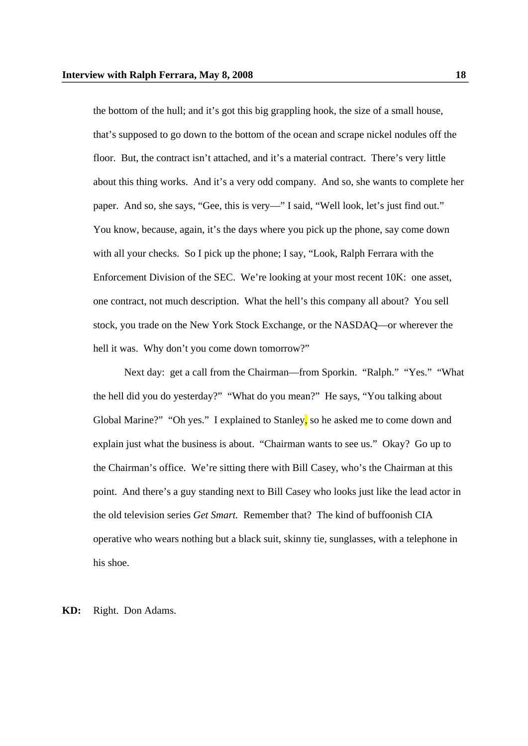the bottom of the hull; and it's got this big grappling hook, the size of a small house, that's supposed to go down to the bottom of the ocean and scrape nickel nodules off the floor. But, the contract isn't attached, and it's a material contract. There's very little about this thing works. And it's a very odd company. And so, she wants to complete her paper. And so, she says, "Gee, this is very—" I said, "Well look, let's just find out." You know, because, again, it's the days where you pick up the phone, say come down with all your checks. So I pick up the phone; I say, "Look, Ralph Ferrara with the Enforcement Division of the SEC. We're looking at your most recent 10K: one asset, one contract, not much description. What the hell's this company all about? You sell stock, you trade on the New York Stock Exchange, or the NASDAQ—or wherever the hell it was. Why don't you come down tomorrow?"

Next day: get a call from the Chairman—from Sporkin. "Ralph." "Yes." "What the hell did you do yesterday?" "What do you mean?" He says, "You talking about Global Marine?" "Oh yes." I explained to Stanley, so he asked me to come down and explain just what the business is about. "Chairman wants to see us." Okay? Go up to the Chairman's office. We're sitting there with Bill Casey, who's the Chairman at this point. And there's a guy standing next to Bill Casey who looks just like the lead actor in the old television series *Get Smart.* Remember that? The kind of buffoonish CIA operative who wears nothing but a black suit, skinny tie, sunglasses, with a telephone in his shoe.

**KD:** Right. Don Adams.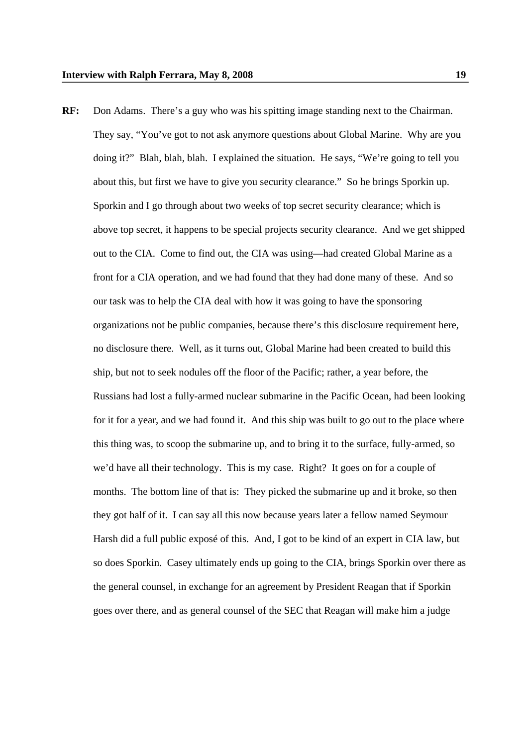**RF:** Don Adams. There's a guy who was his spitting image standing next to the Chairman. They say, "You've got to not ask anymore questions about Global Marine. Why are you doing it?" Blah, blah, blah. I explained the situation. He says, "We're going to tell you about this, but first we have to give you security clearance." So he brings Sporkin up. Sporkin and I go through about two weeks of top secret security clearance; which is above top secret, it happens to be special projects security clearance. And we get shipped out to the CIA. Come to find out, the CIA was using—had created Global Marine as a front for a CIA operation, and we had found that they had done many of these. And so our task was to help the CIA deal with how it was going to have the sponsoring organizations not be public companies, because there's this disclosure requirement here, no disclosure there. Well, as it turns out, Global Marine had been created to build this ship, but not to seek nodules off the floor of the Pacific; rather, a year before, the Russians had lost a fully-armed nuclear submarine in the Pacific Ocean, had been looking for it for a year, and we had found it. And this ship was built to go out to the place where this thing was, to scoop the submarine up, and to bring it to the surface, fully-armed, so we'd have all their technology. This is my case. Right? It goes on for a couple of months. The bottom line of that is: They picked the submarine up and it broke, so then they got half of it. I can say all this now because years later a fellow named Seymour Harsh did a full public exposé of this. And, I got to be kind of an expert in CIA law, but so does Sporkin. Casey ultimately ends up going to the CIA, brings Sporkin over there as the general counsel, in exchange for an agreement by President Reagan that if Sporkin goes over there, and as general counsel of the SEC that Reagan will make him a judge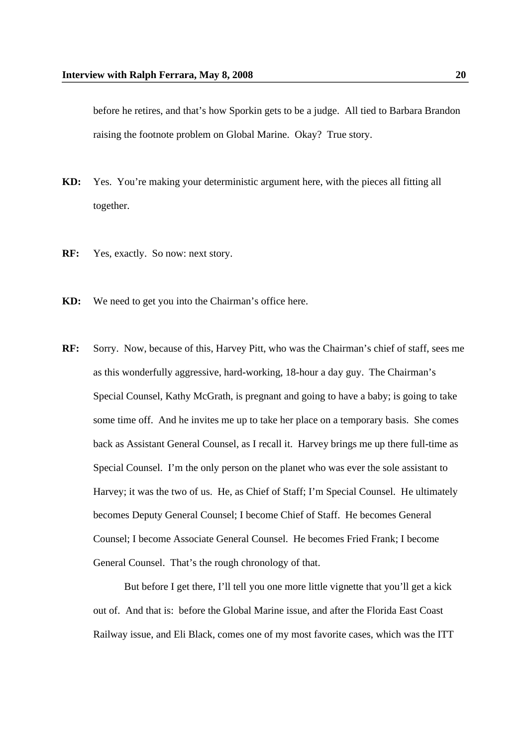before he retires, and that's how Sporkin gets to be a judge. All tied to Barbara Brandon raising the footnote problem on Global Marine. Okay? True story.

- **KD:** Yes. You're making your deterministic argument here, with the pieces all fitting all together.
- **RF:** Yes, exactly. So now: next story.
- **KD:** We need to get you into the Chairman's office here.
- **RF:** Sorry. Now, because of this, Harvey Pitt, who was the Chairman's chief of staff, sees me as this wonderfully aggressive, hard-working, 18-hour a day guy. The Chairman's Special Counsel, Kathy McGrath, is pregnant and going to have a baby; is going to take some time off. And he invites me up to take her place on a temporary basis. She comes back as Assistant General Counsel, as I recall it. Harvey brings me up there full-time as Special Counsel. I'm the only person on the planet who was ever the sole assistant to Harvey; it was the two of us. He, as Chief of Staff; I'm Special Counsel. He ultimately becomes Deputy General Counsel; I become Chief of Staff. He becomes General Counsel; I become Associate General Counsel. He becomes Fried Frank; I become General Counsel. That's the rough chronology of that.

But before I get there, I'll tell you one more little vignette that you'll get a kick out of. And that is: before the Global Marine issue, and after the Florida East Coast Railway issue, and Eli Black, comes one of my most favorite cases, which was the ITT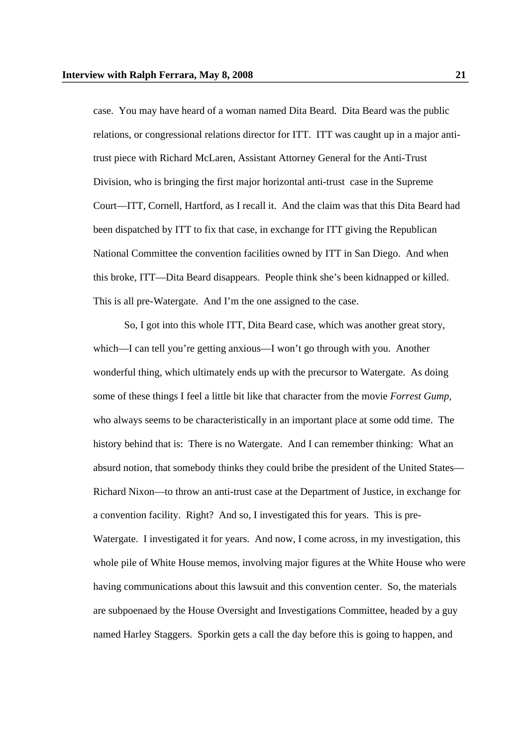case. You may have heard of a woman named Dita Beard. Dita Beard was the public relations, or congressional relations director for ITT. ITT was caught up in a major antitrust piece with Richard McLaren, Assistant Attorney General for the Anti-Trust Division, who is bringing the first major horizontal anti-trust case in the Supreme Court—ITT, Cornell, Hartford, as I recall it. And the claim was that this Dita Beard had been dispatched by ITT to fix that case, in exchange for ITT giving the Republican National Committee the convention facilities owned by ITT in San Diego. And when this broke, ITT—Dita Beard disappears. People think she's been kidnapped or killed. This is all pre-Watergate. And I'm the one assigned to the case.

So, I got into this whole ITT, Dita Beard case, which was another great story, which—I can tell you're getting anxious—I won't go through with you. Another wonderful thing, which ultimately ends up with the precursor to Watergate. As doing some of these things I feel a little bit like that character from the movie *Forrest Gump,* who always seems to be characteristically in an important place at some odd time. The history behind that is: There is no Watergate. And I can remember thinking: What an absurd notion, that somebody thinks they could bribe the president of the United States— Richard Nixon—to throw an anti-trust case at the Department of Justice, in exchange for a convention facility. Right? And so, I investigated this for years. This is pre-Watergate. I investigated it for years. And now, I come across, in my investigation, this whole pile of White House memos, involving major figures at the White House who were having communications about this lawsuit and this convention center. So, the materials are subpoenaed by the House Oversight and Investigations Committee, headed by a guy named Harley Staggers. Sporkin gets a call the day before this is going to happen, and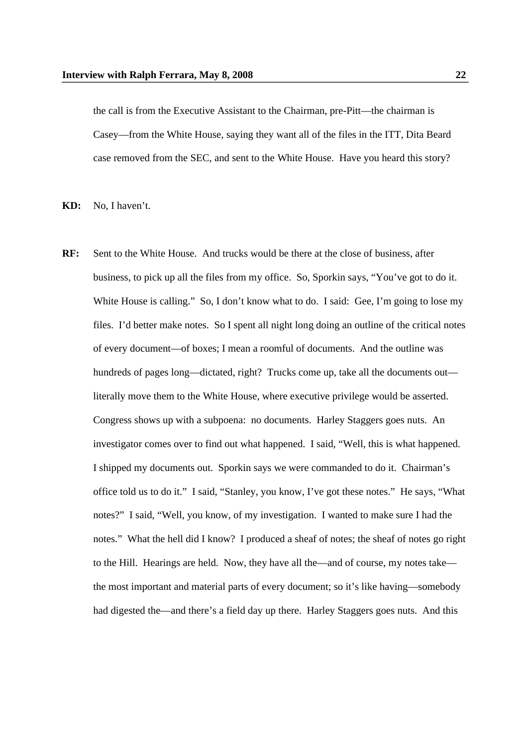the call is from the Executive Assistant to the Chairman, pre-Pitt—the chairman is Casey—from the White House, saying they want all of the files in the ITT, Dita Beard case removed from the SEC, and sent to the White House. Have you heard this story?

**KD:** No, I haven't.

**RF:** Sent to the White House. And trucks would be there at the close of business, after business, to pick up all the files from my office. So, Sporkin says, "You've got to do it. White House is calling." So, I don't know what to do. I said: Gee, I'm going to lose my files. I'd better make notes. So I spent all night long doing an outline of the critical notes of every document—of boxes; I mean a roomful of documents. And the outline was hundreds of pages long—dictated, right? Trucks come up, take all the documents out literally move them to the White House, where executive privilege would be asserted. Congress shows up with a subpoena: no documents. Harley Staggers goes nuts. An investigator comes over to find out what happened. I said, "Well, this is what happened. I shipped my documents out. Sporkin says we were commanded to do it. Chairman's office told us to do it." I said, "Stanley, you know, I've got these notes." He says, "What notes?" I said, "Well, you know, of my investigation. I wanted to make sure I had the notes." What the hell did I know? I produced a sheaf of notes; the sheaf of notes go right to the Hill. Hearings are held. Now, they have all the—and of course, my notes take the most important and material parts of every document; so it's like having—somebody had digested the—and there's a field day up there. Harley Staggers goes nuts. And this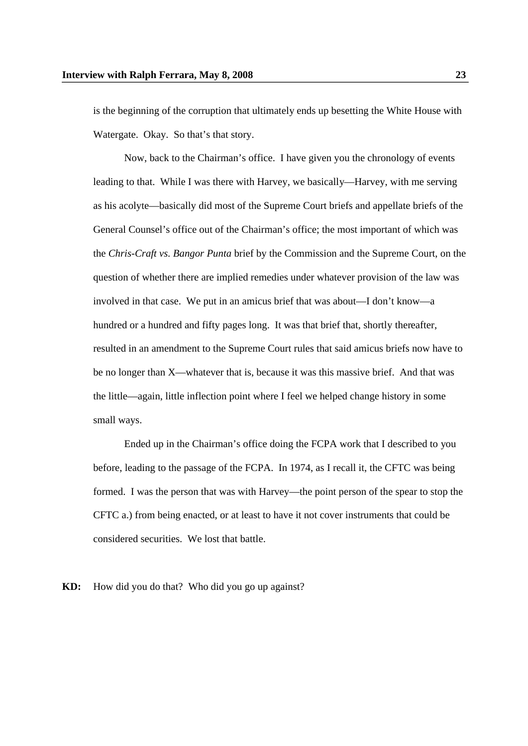is the beginning of the corruption that ultimately ends up besetting the White House with Watergate. Okay. So that's that story.

Now, back to the Chairman's office. I have given you the chronology of events leading to that. While I was there with Harvey, we basically—Harvey, with me serving as his acolyte—basically did most of the Supreme Court briefs and appellate briefs of the General Counsel's office out of the Chairman's office; the most important of which was the *Chris-Craft vs. Bangor Punta* brief by the Commission and the Supreme Court, on the question of whether there are implied remedies under whatever provision of the law was involved in that case. We put in an amicus brief that was about—I don't know—a hundred or a hundred and fifty pages long. It was that brief that, shortly thereafter, resulted in an amendment to the Supreme Court rules that said amicus briefs now have to be no longer than X—whatever that is, because it was this massive brief. And that was the little—again, little inflection point where I feel we helped change history in some small ways.

Ended up in the Chairman's office doing the FCPA work that I described to you before, leading to the passage of the FCPA. In 1974, as I recall it, the CFTC was being formed. I was the person that was with Harvey—the point person of the spear to stop the CFTC a.) from being enacted, or at least to have it not cover instruments that could be considered securities. We lost that battle.

**KD:** How did you do that? Who did you go up against?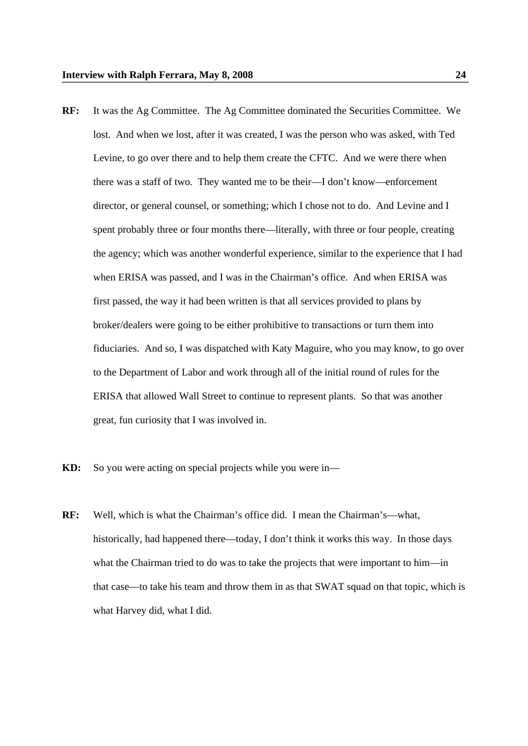- **RF:** It was the Ag Committee. The Ag Committee dominated the Securities Committee. We lost. And when we lost, after it was created, I was the person who was asked, with Ted Levine, to go over there and to help them create the CFTC. And we were there when there was a staff of two. They wanted me to be their—I don't know—enforcement director, or general counsel, or something; which I chose not to do. And Levine and I spent probably three or four months there—literally, with three or four people, creating the agency; which was another wonderful experience, similar to the experience that I had when ERISA was passed, and I was in the Chairman's office. And when ERISA was first passed, the way it had been written is that all services provided to plans by broker/dealers were going to be either prohibitive to transactions or turn them into fiduciaries. And so, I was dispatched with Katy Maguire, who you may know, to go over to the Department of Labor and work through all of the initial round of rules for the ERISA that allowed Wall Street to continue to represent plants. So that was another great, fun curiosity that I was involved in.
- **KD:** So you were acting on special projects while you were in—
- **RF:** Well, which is what the Chairman's office did. I mean the Chairman's—what, historically, had happened there—today, I don't think it works this way. In those days what the Chairman tried to do was to take the projects that were important to him—in that case—to take his team and throw them in as that SWAT squad on that topic, which is what Harvey did, what I did.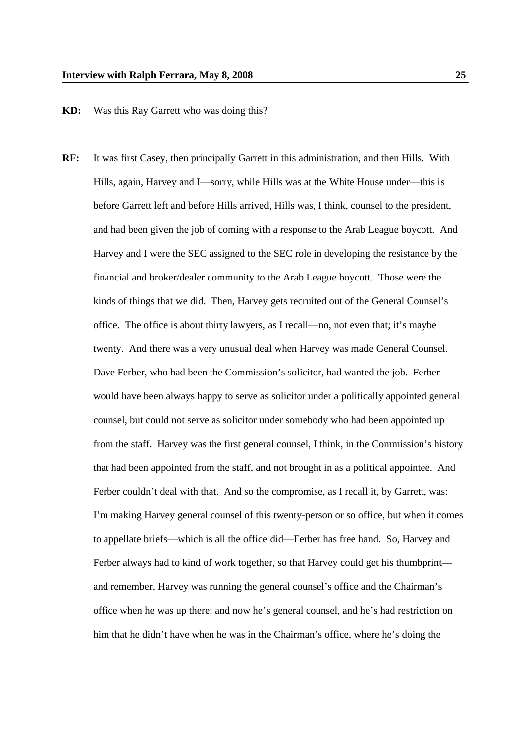## **KD:** Was this Ray Garrett who was doing this?

**RF:** It was first Casey, then principally Garrett in this administration, and then Hills. With Hills, again, Harvey and I—sorry, while Hills was at the White House under—this is before Garrett left and before Hills arrived, Hills was, I think, counsel to the president, and had been given the job of coming with a response to the Arab League boycott. And Harvey and I were the SEC assigned to the SEC role in developing the resistance by the financial and broker/dealer community to the Arab League boycott. Those were the kinds of things that we did. Then, Harvey gets recruited out of the General Counsel's office. The office is about thirty lawyers, as I recall—no, not even that; it's maybe twenty. And there was a very unusual deal when Harvey was made General Counsel. Dave Ferber, who had been the Commission's solicitor, had wanted the job. Ferber would have been always happy to serve as solicitor under a politically appointed general counsel, but could not serve as solicitor under somebody who had been appointed up from the staff. Harvey was the first general counsel, I think, in the Commission's history that had been appointed from the staff, and not brought in as a political appointee. And Ferber couldn't deal with that. And so the compromise, as I recall it, by Garrett, was: I'm making Harvey general counsel of this twenty-person or so office, but when it comes to appellate briefs—which is all the office did—Ferber has free hand. So, Harvey and Ferber always had to kind of work together, so that Harvey could get his thumbprint and remember, Harvey was running the general counsel's office and the Chairman's office when he was up there; and now he's general counsel, and he's had restriction on him that he didn't have when he was in the Chairman's office, where he's doing the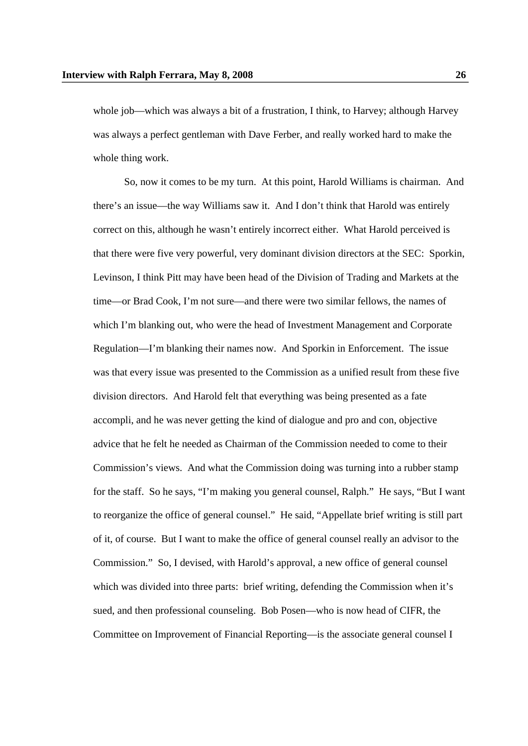whole job—which was always a bit of a frustration, I think, to Harvey; although Harvey was always a perfect gentleman with Dave Ferber, and really worked hard to make the whole thing work.

So, now it comes to be my turn. At this point, Harold Williams is chairman. And there's an issue—the way Williams saw it. And I don't think that Harold was entirely correct on this, although he wasn't entirely incorrect either. What Harold perceived is that there were five very powerful, very dominant division directors at the SEC: Sporkin, Levinson, I think Pitt may have been head of the Division of Trading and Markets at the time—or Brad Cook, I'm not sure—and there were two similar fellows, the names of which I'm blanking out, who were the head of Investment Management and Corporate Regulation—I'm blanking their names now. And Sporkin in Enforcement. The issue was that every issue was presented to the Commission as a unified result from these five division directors. And Harold felt that everything was being presented as a fate accompli, and he was never getting the kind of dialogue and pro and con, objective advice that he felt he needed as Chairman of the Commission needed to come to their Commission's views. And what the Commission doing was turning into a rubber stamp for the staff. So he says, "I'm making you general counsel, Ralph." He says, "But I want to reorganize the office of general counsel." He said, "Appellate brief writing is still part of it, of course. But I want to make the office of general counsel really an advisor to the Commission." So, I devised, with Harold's approval, a new office of general counsel which was divided into three parts: brief writing, defending the Commission when it's sued, and then professional counseling. Bob Posen—who is now head of CIFR, the Committee on Improvement of Financial Reporting—is the associate general counsel I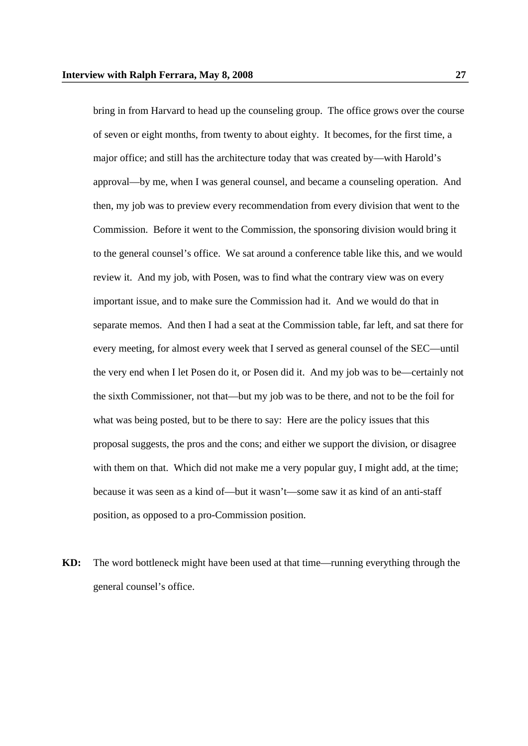bring in from Harvard to head up the counseling group. The office grows over the course of seven or eight months, from twenty to about eighty. It becomes, for the first time, a major office; and still has the architecture today that was created by—with Harold's approval—by me, when I was general counsel, and became a counseling operation. And then, my job was to preview every recommendation from every division that went to the Commission. Before it went to the Commission, the sponsoring division would bring it to the general counsel's office. We sat around a conference table like this, and we would review it. And my job, with Posen, was to find what the contrary view was on every important issue, and to make sure the Commission had it. And we would do that in separate memos. And then I had a seat at the Commission table, far left, and sat there for every meeting, for almost every week that I served as general counsel of the SEC—until the very end when I let Posen do it, or Posen did it. And my job was to be—certainly not the sixth Commissioner, not that—but my job was to be there, and not to be the foil for what was being posted, but to be there to say: Here are the policy issues that this proposal suggests, the pros and the cons; and either we support the division, or disagree with them on that. Which did not make me a very popular guy, I might add, at the time; because it was seen as a kind of—but it wasn't—some saw it as kind of an anti-staff position, as opposed to a pro-Commission position.

**KD:** The word bottleneck might have been used at that time—running everything through the general counsel's office.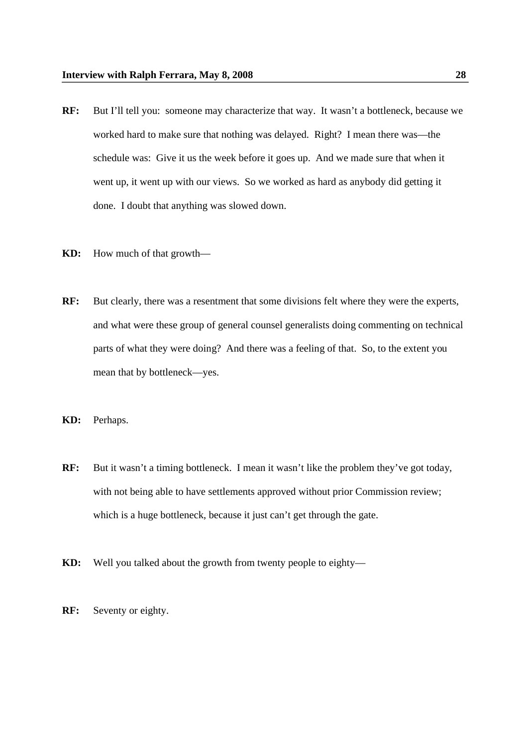- **RF:** But I'll tell you: someone may characterize that way. It wasn't a bottleneck, because we worked hard to make sure that nothing was delayed. Right? I mean there was—the schedule was: Give it us the week before it goes up. And we made sure that when it went up, it went up with our views. So we worked as hard as anybody did getting it done. I doubt that anything was slowed down.
- **KD:** How much of that growth—
- **RF:** But clearly, there was a resentment that some divisions felt where they were the experts, and what were these group of general counsel generalists doing commenting on technical parts of what they were doing? And there was a feeling of that. So, to the extent you mean that by bottleneck—yes.
- **KD:** Perhaps.
- **RF:** But it wasn't a timing bottleneck. I mean it wasn't like the problem they've got today, with not being able to have settlements approved without prior Commission review; which is a huge bottleneck, because it just can't get through the gate.
- **KD:** Well you talked about the growth from twenty people to eighty—
- **RF:** Seventy or eighty.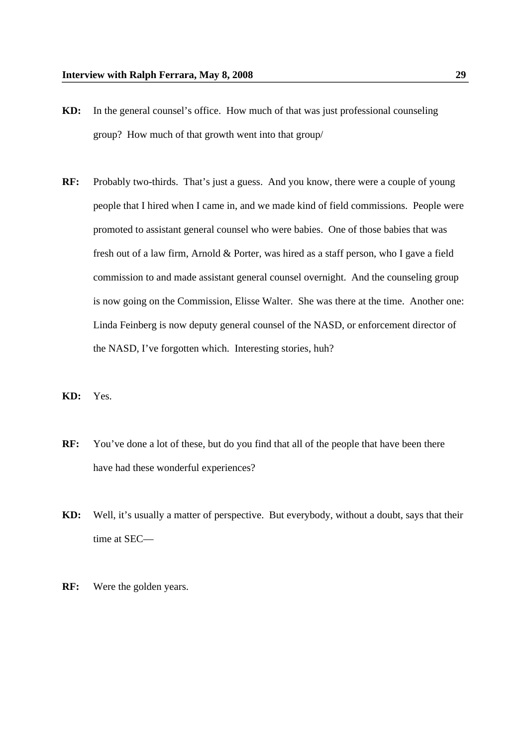- **KD:** In the general counsel's office. How much of that was just professional counseling group? How much of that growth went into that group/
- **RF:** Probably two-thirds. That's just a guess. And you know, there were a couple of young people that I hired when I came in, and we made kind of field commissions. People were promoted to assistant general counsel who were babies. One of those babies that was fresh out of a law firm, Arnold & Porter, was hired as a staff person, who I gave a field commission to and made assistant general counsel overnight. And the counseling group is now going on the Commission, Elisse Walter. She was there at the time. Another one: Linda Feinberg is now deputy general counsel of the NASD, or enforcement director of the NASD, I've forgotten which. Interesting stories, huh?
- **KD:** Yes.
- **RF:** You've done a lot of these, but do you find that all of the people that have been there have had these wonderful experiences?
- **KD:** Well, it's usually a matter of perspective. But everybody, without a doubt, says that their time at SEC—
- **RF:** Were the golden years.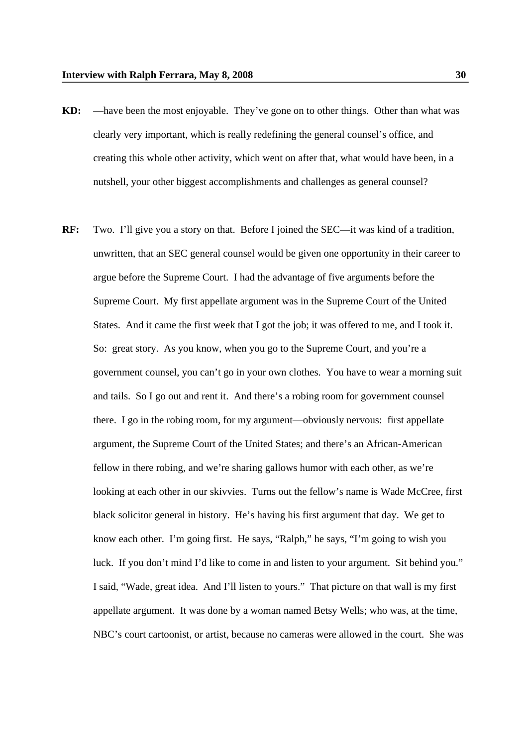- **KD:** —have been the most enjoyable. They've gone on to other things. Other than what was clearly very important, which is really redefining the general counsel's office, and creating this whole other activity, which went on after that, what would have been, in a nutshell, your other biggest accomplishments and challenges as general counsel?
- **RF:** Two. I'll give you a story on that. Before I joined the SEC—it was kind of a tradition, unwritten, that an SEC general counsel would be given one opportunity in their career to argue before the Supreme Court. I had the advantage of five arguments before the Supreme Court. My first appellate argument was in the Supreme Court of the United States. And it came the first week that I got the job; it was offered to me, and I took it. So: great story. As you know, when you go to the Supreme Court, and you're a government counsel, you can't go in your own clothes. You have to wear a morning suit and tails. So I go out and rent it. And there's a robing room for government counsel there. I go in the robing room, for my argument—obviously nervous: first appellate argument, the Supreme Court of the United States; and there's an African-American fellow in there robing, and we're sharing gallows humor with each other, as we're looking at each other in our skivvies. Turns out the fellow's name is Wade McCree, first black solicitor general in history. He's having his first argument that day. We get to know each other. I'm going first. He says, "Ralph," he says, "I'm going to wish you luck. If you don't mind I'd like to come in and listen to your argument. Sit behind you." I said, "Wade, great idea. And I'll listen to yours." That picture on that wall is my first appellate argument. It was done by a woman named Betsy Wells; who was, at the time, NBC's court cartoonist, or artist, because no cameras were allowed in the court. She was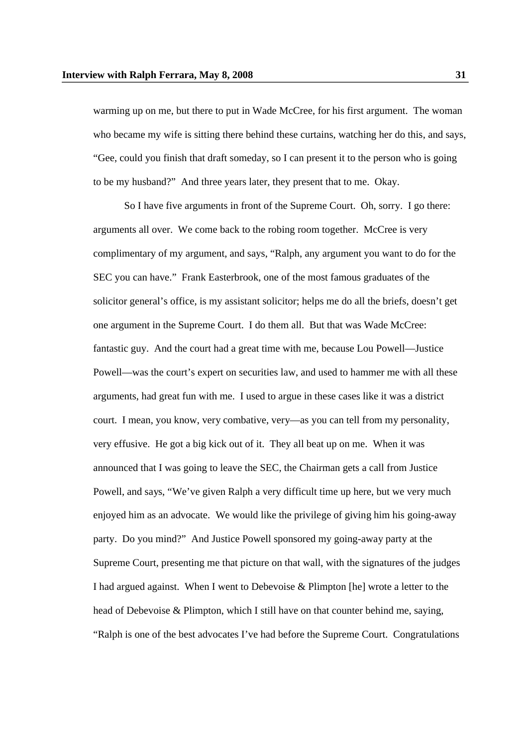warming up on me, but there to put in Wade McCree, for his first argument. The woman who became my wife is sitting there behind these curtains, watching her do this, and says, "Gee, could you finish that draft someday, so I can present it to the person who is going to be my husband?" And three years later, they present that to me. Okay.

So I have five arguments in front of the Supreme Court. Oh, sorry. I go there: arguments all over. We come back to the robing room together. McCree is very complimentary of my argument, and says, "Ralph, any argument you want to do for the SEC you can have." Frank Easterbrook, one of the most famous graduates of the solicitor general's office, is my assistant solicitor; helps me do all the briefs, doesn't get one argument in the Supreme Court. I do them all. But that was Wade McCree: fantastic guy. And the court had a great time with me, because Lou Powell—Justice Powell—was the court's expert on securities law, and used to hammer me with all these arguments, had great fun with me. I used to argue in these cases like it was a district court. I mean, you know, very combative, very—as you can tell from my personality, very effusive. He got a big kick out of it. They all beat up on me. When it was announced that I was going to leave the SEC, the Chairman gets a call from Justice Powell, and says, "We've given Ralph a very difficult time up here, but we very much enjoyed him as an advocate. We would like the privilege of giving him his going-away party. Do you mind?" And Justice Powell sponsored my going-away party at the Supreme Court, presenting me that picture on that wall, with the signatures of the judges I had argued against. When I went to Debevoise & Plimpton [he] wrote a letter to the head of Debevoise & Plimpton, which I still have on that counter behind me, saying, "Ralph is one of the best advocates I've had before the Supreme Court. Congratulations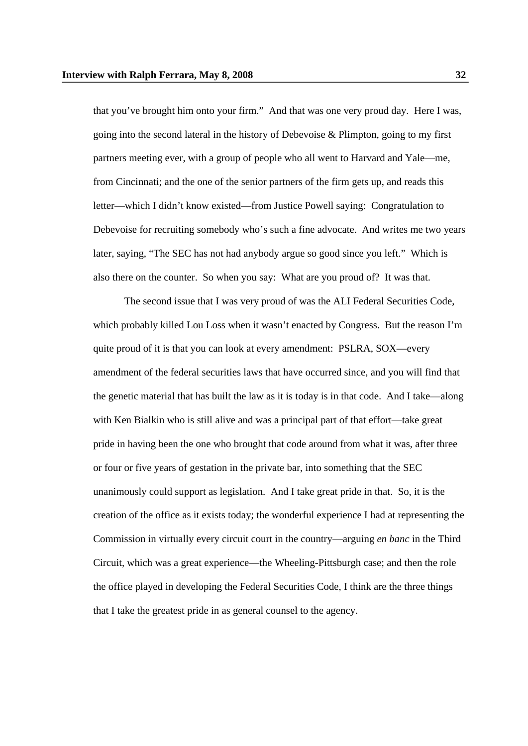that you've brought him onto your firm." And that was one very proud day. Here I was, going into the second lateral in the history of Debevoise & Plimpton, going to my first partners meeting ever, with a group of people who all went to Harvard and Yale—me, from Cincinnati; and the one of the senior partners of the firm gets up, and reads this letter—which I didn't know existed—from Justice Powell saying: Congratulation to Debevoise for recruiting somebody who's such a fine advocate. And writes me two years later, saying, "The SEC has not had anybody argue so good since you left." Which is also there on the counter. So when you say: What are you proud of? It was that.

The second issue that I was very proud of was the ALI Federal Securities Code, which probably killed Lou Loss when it wasn't enacted by Congress. But the reason I'm quite proud of it is that you can look at every amendment: PSLRA, SOX—every amendment of the federal securities laws that have occurred since, and you will find that the genetic material that has built the law as it is today is in that code. And I take—along with Ken Bialkin who is still alive and was a principal part of that effort—take great pride in having been the one who brought that code around from what it was, after three or four or five years of gestation in the private bar, into something that the SEC unanimously could support as legislation. And I take great pride in that. So, it is the creation of the office as it exists today; the wonderful experience I had at representing the Commission in virtually every circuit court in the country—arguing *en banc* in the Third Circuit, which was a great experience—the Wheeling-Pittsburgh case; and then the role the office played in developing the Federal Securities Code, I think are the three things that I take the greatest pride in as general counsel to the agency.